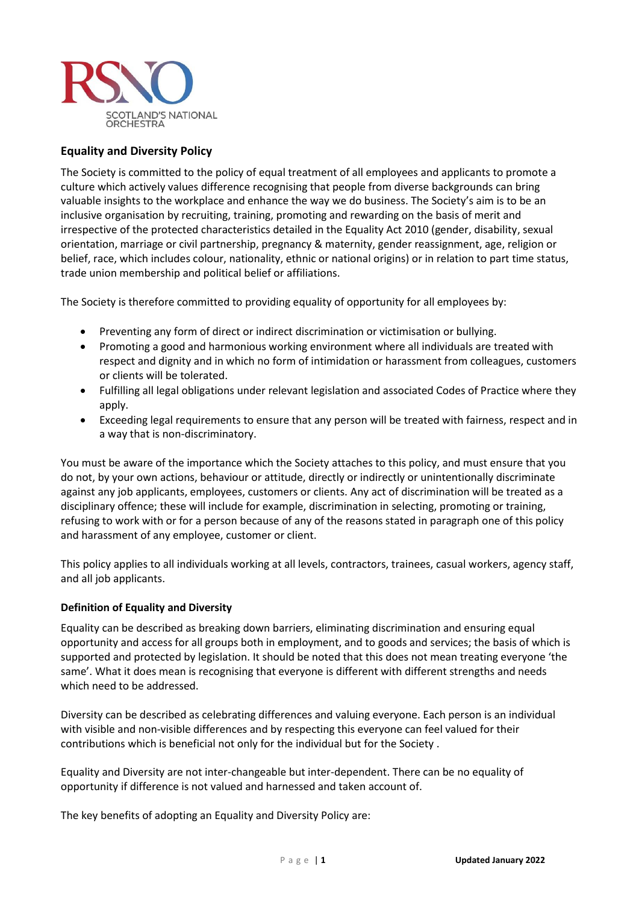

# **Equality and Diversity Policy**

The Society is committed to the policy of equal treatment of all employees and applicants to promote a culture which actively values difference recognising that people from diverse backgrounds can bring valuable insights to the workplace and enhance the way we do business. The Society's aim is to be an inclusive organisation by recruiting, training, promoting and rewarding on the basis of merit and irrespective of the protected characteristics detailed in the Equality Act 2010 (gender, disability, sexual orientation, marriage or civil partnership, pregnancy & maternity, gender reassignment, age, religion or belief, race, which includes colour, nationality, ethnic or national origins) or in relation to part time status, trade union membership and political belief or affiliations.

The Society is therefore committed to providing equality of opportunity for all employees by:

- Preventing any form of direct or indirect discrimination or victimisation or bullying.
- Promoting a good and harmonious working environment where all individuals are treated with respect and dignity and in which no form of intimidation or harassment from colleagues, customers or clients will be tolerated.
- Fulfilling all legal obligations under relevant legislation and associated Codes of Practice where they apply.
- Exceeding legal requirements to ensure that any person will be treated with fairness, respect and in a way that is non-discriminatory.

You must be aware of the importance which the Society attaches to this policy, and must ensure that you do not, by your own actions, behaviour or attitude, directly or indirectly or unintentionally discriminate against any job applicants, employees, customers or clients. Any act of discrimination will be treated as a disciplinary offence; these will include for example, discrimination in selecting, promoting or training, refusing to work with or for a person because of any of the reasons stated in paragraph one of this policy and harassment of any employee, customer or client.

This policy applies to all individuals working at all levels, contractors, trainees, casual workers, agency staff, and all job applicants.

### **Definition of Equality and Diversity**

Equality can be described as breaking down barriers, eliminating discrimination and ensuring equal opportunity and access for all groups both in employment, and to goods and services; the basis of which is supported and protected by legislation. It should be noted that this does not mean treating everyone 'the same'. What it does mean is recognising that everyone is different with different strengths and needs which need to be addressed.

Diversity can be described as celebrating differences and valuing everyone. Each person is an individual with visible and non-visible differences and by respecting this everyone can feel valued for their contributions which is beneficial not only for the individual but for the Society .

Equality and Diversity are not inter-changeable but inter-dependent. There can be no equality of opportunity if difference is not valued and harnessed and taken account of.

The key benefits of adopting an Equality and Diversity Policy are: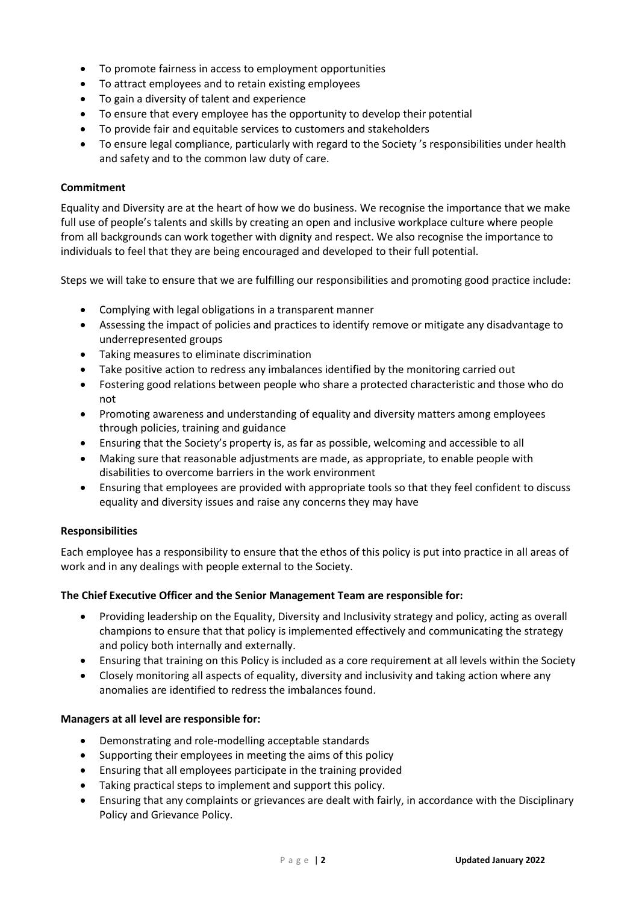- To promote fairness in access to employment opportunities
- To attract employees and to retain existing employees
- To gain a diversity of talent and experience
- To ensure that every employee has the opportunity to develop their potential
- To provide fair and equitable services to customers and stakeholders
- To ensure legal compliance, particularly with regard to the Society 's responsibilities under health and safety and to the common law duty of care.

# **Commitment**

Equality and Diversity are at the heart of how we do business. We recognise the importance that we make full use of people's talents and skills by creating an open and inclusive workplace culture where people from all backgrounds can work together with dignity and respect. We also recognise the importance to individuals to feel that they are being encouraged and developed to their full potential.

Steps we will take to ensure that we are fulfilling our responsibilities and promoting good practice include:

- Complying with legal obligations in a transparent manner
- Assessing the impact of policies and practices to identify remove or mitigate any disadvantage to underrepresented groups
- Taking measures to eliminate discrimination
- Take positive action to redress any imbalances identified by the monitoring carried out
- Fostering good relations between people who share a protected characteristic and those who do not
- Promoting awareness and understanding of equality and diversity matters among employees through policies, training and guidance
- Ensuring that the Society's property is, as far as possible, welcoming and accessible to all
- Making sure that reasonable adjustments are made, as appropriate, to enable people with disabilities to overcome barriers in the work environment
- Ensuring that employees are provided with appropriate tools so that they feel confident to discuss equality and diversity issues and raise any concerns they may have

### **Responsibilities**

Each employee has a responsibility to ensure that the ethos of this policy is put into practice in all areas of work and in any dealings with people external to the Society.

### **The Chief Executive Officer and the Senior Management Team are responsible for:**

- Providing leadership on the Equality, Diversity and Inclusivity strategy and policy, acting as overall champions to ensure that that policy is implemented effectively and communicating the strategy and policy both internally and externally.
- Ensuring that training on this Policy is included as a core requirement at all levels within the Society
- Closely monitoring all aspects of equality, diversity and inclusivity and taking action where any anomalies are identified to redress the imbalances found.

### **Managers at all level are responsible for:**

- Demonstrating and role-modelling acceptable standards
- Supporting their employees in meeting the aims of this policy
- Ensuring that all employees participate in the training provided
- Taking practical steps to implement and support this policy.
- Ensuring that any complaints or grievances are dealt with fairly, in accordance with the Disciplinary Policy and Grievance Policy.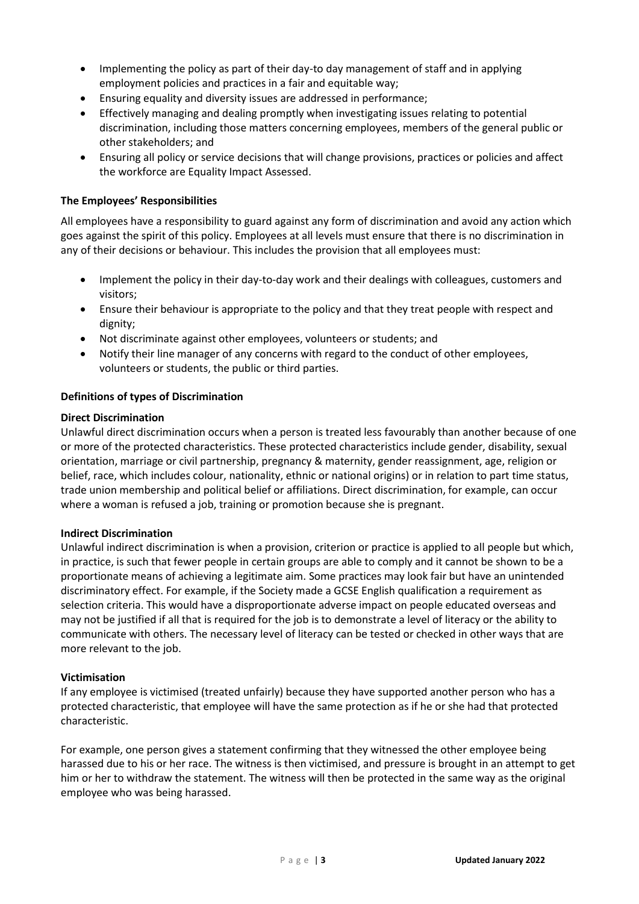- Implementing the policy as part of their day-to day management of staff and in applying employment policies and practices in a fair and equitable way;
- Ensuring equality and diversity issues are addressed in performance;
- Effectively managing and dealing promptly when investigating issues relating to potential discrimination, including those matters concerning employees, members of the general public or other stakeholders; and
- Ensuring all policy or service decisions that will change provisions, practices or policies and affect the workforce are Equality Impact Assessed.

# **The Employees' Responsibilities**

All employees have a responsibility to guard against any form of discrimination and avoid any action which goes against the spirit of this policy. Employees at all levels must ensure that there is no discrimination in any of their decisions or behaviour. This includes the provision that all employees must:

- Implement the policy in their day-to-day work and their dealings with colleagues, customers and visitors;
- Ensure their behaviour is appropriate to the policy and that they treat people with respect and dignity;
- Not discriminate against other employees, volunteers or students; and
- Notify their line manager of any concerns with regard to the conduct of other employees, volunteers or students, the public or third parties.

### **Definitions of types of Discrimination**

### **Direct Discrimination**

Unlawful direct discrimination occurs when a person is treated less favourably than another because of one or more of the protected characteristics. These protected characteristics include gender, disability, sexual orientation, marriage or civil partnership, pregnancy & maternity, gender reassignment, age, religion or belief, race, which includes colour, nationality, ethnic or national origins) or in relation to part time status, trade union membership and political belief or affiliations. Direct discrimination, for example, can occur where a woman is refused a job, training or promotion because she is pregnant.

### **Indirect Discrimination**

Unlawful indirect discrimination is when a provision, criterion or practice is applied to all people but which, in practice, is such that fewer people in certain groups are able to comply and it cannot be shown to be a proportionate means of achieving a legitimate aim. Some practices may look fair but have an unintended discriminatory effect. For example, if the Society made a GCSE English qualification a requirement as selection criteria. This would have a disproportionate adverse impact on people educated overseas and may not be justified if all that is required for the job is to demonstrate a level of literacy or the ability to communicate with others. The necessary level of literacy can be tested or checked in other ways that are more relevant to the job.

### **Victimisation**

If any employee is victimised (treated unfairly) because they have supported another person who has a protected characteristic, that employee will have the same protection as if he or she had that protected characteristic.

For example, one person gives a statement confirming that they witnessed the other employee being harassed due to his or her race. The witness is then victimised, and pressure is brought in an attempt to get him or her to withdraw the statement. The witness will then be protected in the same way as the original employee who was being harassed.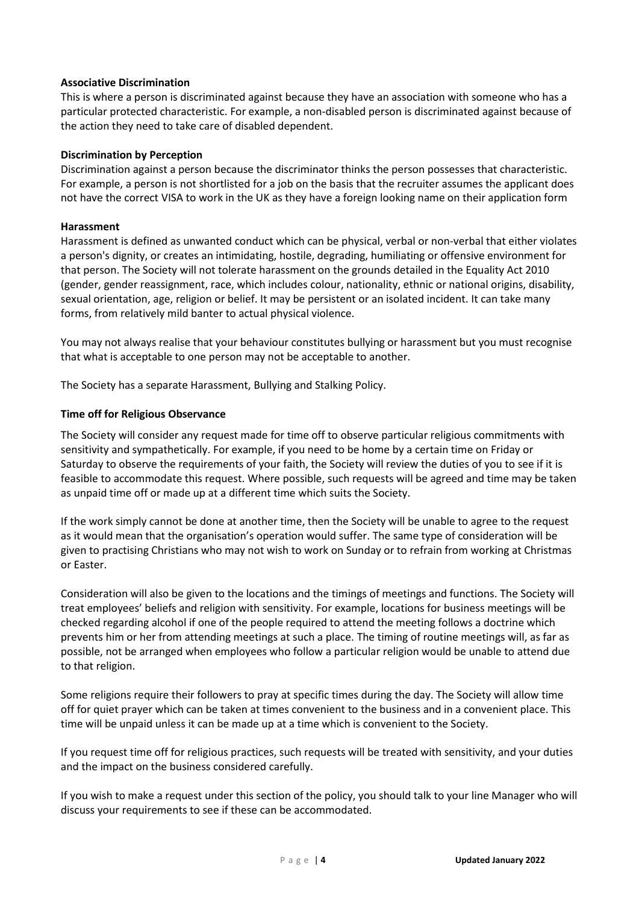### **Associative Discrimination**

This is where a person is discriminated against because they have an association with someone who has a particular protected characteristic. For example, a non-disabled person is discriminated against because of the action they need to take care of disabled dependent.

### **Discrimination by Perception**

Discrimination against a person because the discriminator thinks the person possesses that characteristic. For example, a person is not shortlisted for a job on the basis that the recruiter assumes the applicant does not have the correct VISA to work in the UK as they have a foreign looking name on their application form

### **Harassment**

Harassment is defined as unwanted conduct which can be physical, verbal or non-verbal that either violates a person's dignity, or creates an intimidating, hostile, degrading, humiliating or offensive environment for that person. The Society will not tolerate harassment on the grounds detailed in the Equality Act 2010 (gender, gender reassignment, race, which includes colour, nationality, ethnic or national origins, disability, sexual orientation, age, religion or belief. It may be persistent or an isolated incident. It can take many forms, from relatively mild banter to actual physical violence.

You may not always realise that your behaviour constitutes bullying or harassment but you must recognise that what is acceptable to one person may not be acceptable to another.

The Society has a separate Harassment, Bullying and Stalking Policy.

# **Time off for Religious Observance**

The Society will consider any request made for time off to observe particular religious commitments with sensitivity and sympathetically. For example, if you need to be home by a certain time on Friday or Saturday to observe the requirements of your faith, the Society will review the duties of you to see if it is feasible to accommodate this request. Where possible, such requests will be agreed and time may be taken as unpaid time off or made up at a different time which suits the Society.

If the work simply cannot be done at another time, then the Society will be unable to agree to the request as it would mean that the organisation's operation would suffer. The same type of consideration will be given to practising Christians who may not wish to work on Sunday or to refrain from working at Christmas or Easter.

Consideration will also be given to the locations and the timings of meetings and functions. The Society will treat employees' beliefs and religion with sensitivity. For example, locations for business meetings will be checked regarding alcohol if one of the people required to attend the meeting follows a doctrine which prevents him or her from attending meetings at such a place. The timing of routine meetings will, as far as possible, not be arranged when employees who follow a particular religion would be unable to attend due to that religion.

Some religions require their followers to pray at specific times during the day. The Society will allow time off for quiet prayer which can be taken at times convenient to the business and in a convenient place. This time will be unpaid unless it can be made up at a time which is convenient to the Society.

If you request time off for religious practices, such requests will be treated with sensitivity, and your duties and the impact on the business considered carefully.

If you wish to make a request under this section of the policy, you should talk to your line Manager who will discuss your requirements to see if these can be accommodated.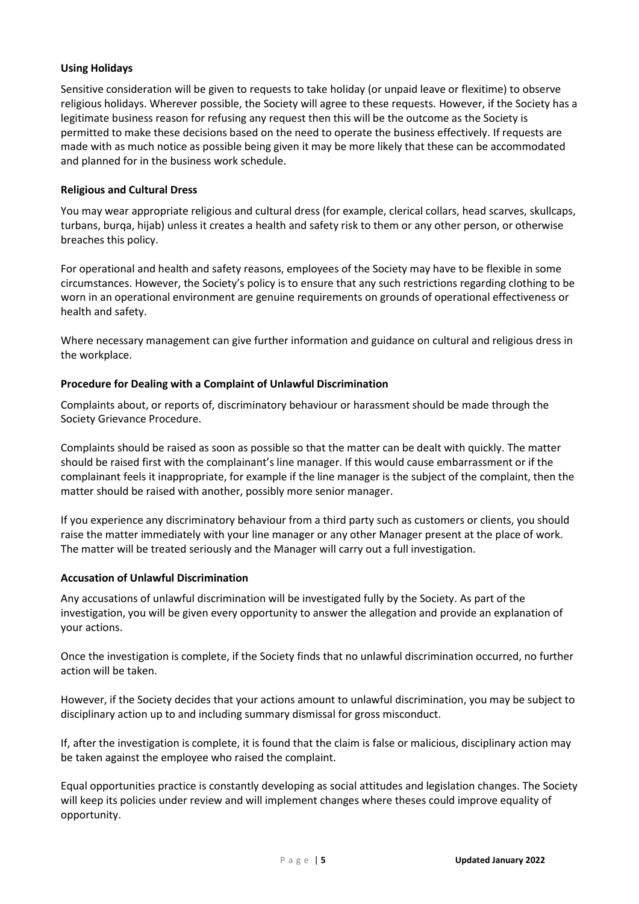# **Using Holidays**

Sensitive consideration will be given to requests to take holiday (or unpaid leave or flexitime) to observe religious holidays. Wherever possible, the Society will agree to these requests. However, if the Society has a legitimate business reason for refusing any request then this will be the outcome as the Society is permitted to make these decisions based on the need to operate the business effectively. If requests are made with as much notice as possible being given it may be more likely that these can be accommodated and planned for in the business work schedule.

# **Religious and Cultural Dress**

You may wear appropriate religious and cultural dress (for example, clerical collars, head scarves, skullcaps, turbans, burqa, hijab) unless it creates a health and safety risk to them or any other person, or otherwise breaches this policy.

For operational and health and safety reasons, employees of the Society may have to be flexible in some circumstances. However, the Society's policy is to ensure that any such restrictions regarding clothing to be worn in an operational environment are genuine requirements on grounds of operational effectiveness or health and safety.

Where necessary management can give further information and guidance on cultural and religious dress in the workplace.

# **Procedure for Dealing with a Complaint of Unlawful Discrimination**

Complaints about, or reports of, discriminatory behaviour or harassment should be made through the Society Grievance Procedure.

Complaints should be raised as soon as possible so that the matter can be dealt with quickly. The matter should be raised first with the complainant's line manager. If this would cause embarrassment or if the complainant feels it inappropriate, for example if the line manager is the subject of the complaint, then the matter should be raised with another, possibly more senior manager.

If you experience any discriminatory behaviour from a third party such as customers or clients, you should raise the matter immediately with your line manager or any other Manager present at the place of work. The matter will be treated seriously and the Manager will carry out a full investigation.

### **Accusation of Unlawful Discrimination**

Any accusations of unlawful discrimination will be investigated fully by the Society. As part of the investigation, you will be given every opportunity to answer the allegation and provide an explanation of your actions.

Once the investigation is complete, if the Society finds that no unlawful discrimination occurred, no further action will be taken.

However, if the Society decides that your actions amount to unlawful discrimination, you may be subject to disciplinary action up to and including summary dismissal for gross misconduct.

If, after the investigation is complete, it is found that the claim is false or malicious, disciplinary action may be taken against the employee who raised the complaint.

Equal opportunities practice is constantly developing as social attitudes and legislation changes. The Society will keep its policies under review and will implement changes where theses could improve equality of opportunity.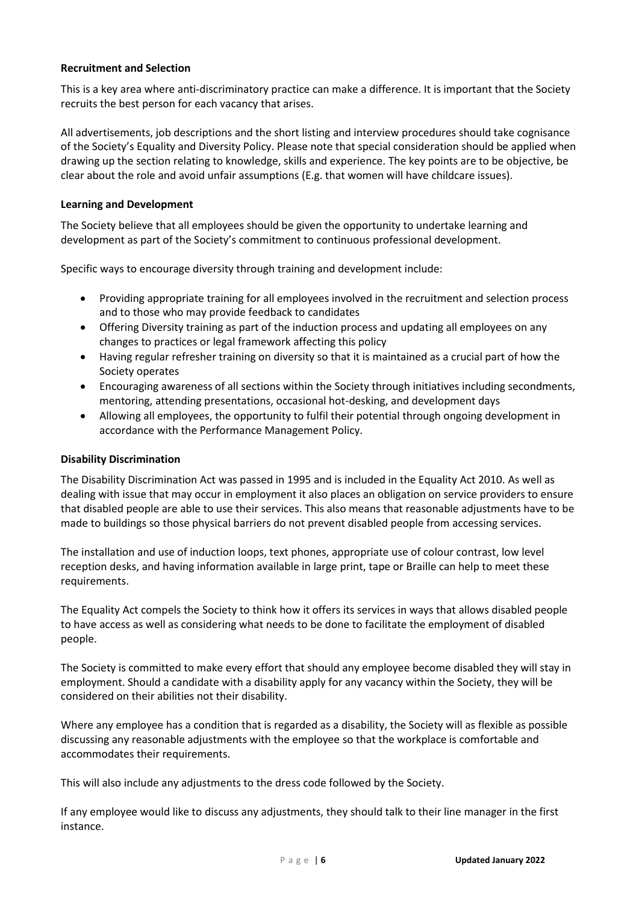### **Recruitment and Selection**

This is a key area where anti-discriminatory practice can make a difference. It is important that the Society recruits the best person for each vacancy that arises.

All advertisements, job descriptions and the short listing and interview procedures should take cognisance of the Society's Equality and Diversity Policy. Please note that special consideration should be applied when drawing up the section relating to knowledge, skills and experience. The key points are to be objective, be clear about the role and avoid unfair assumptions (E.g. that women will have childcare issues).

# **Learning and Development**

The Society believe that all employees should be given the opportunity to undertake learning and development as part of the Society's commitment to continuous professional development.

Specific ways to encourage diversity through training and development include:

- Providing appropriate training for all employees involved in the recruitment and selection process and to those who may provide feedback to candidates
- Offering Diversity training as part of the induction process and updating all employees on any changes to practices or legal framework affecting this policy
- Having regular refresher training on diversity so that it is maintained as a crucial part of how the Society operates
- Encouraging awareness of all sections within the Society through initiatives including secondments, mentoring, attending presentations, occasional hot-desking, and development days
- Allowing all employees, the opportunity to fulfil their potential through ongoing development in accordance with the Performance Management Policy.

### **Disability Discrimination**

The Disability Discrimination Act was passed in 1995 and is included in the Equality Act 2010. As well as dealing with issue that may occur in employment it also places an obligation on service providers to ensure that disabled people are able to use their services. This also means that reasonable adjustments have to be made to buildings so those physical barriers do not prevent disabled people from accessing services.

The installation and use of induction loops, text phones, appropriate use of colour contrast, low level reception desks, and having information available in large print, tape or Braille can help to meet these requirements.

The Equality Act compels the Society to think how it offers its services in ways that allows disabled people to have access as well as considering what needs to be done to facilitate the employment of disabled people.

The Society is committed to make every effort that should any employee become disabled they will stay in employment. Should a candidate with a disability apply for any vacancy within the Society, they will be considered on their abilities not their disability.

Where any employee has a condition that is regarded as a disability, the Society will as flexible as possible discussing any reasonable adjustments with the employee so that the workplace is comfortable and accommodates their requirements.

This will also include any adjustments to the dress code followed by the Society.

If any employee would like to discuss any adjustments, they should talk to their line manager in the first instance.